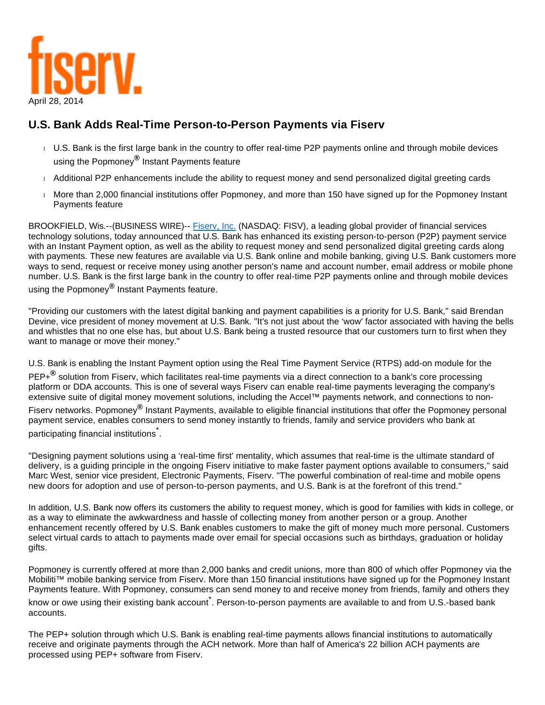

## **U.S. Bank Adds Real-Time Person-to-Person Payments via Fiserv**

- U.S. Bank is the first large bank in the country to offer real-time P2P payments online and through mobile devices using the Popmoney**®** Instant Payments feature
- Additional P2P enhancements include the ability to request money and send personalized digital greeting cards
- More than 2,000 financial institutions offer Popmoney, and more than 150 have signed up for the Popmoney Instant Payments feature

BROOKFIELD, Wis.--(BUSINESS WIRE)-- [Fiserv, Inc.](http://cts.businesswire.com/ct/CT?id=smartlink&url=http%3A%2F%2Fwww.fiserv.com&esheet=50852163&newsitemid=20140428005831&lan=en-US&anchor=Fiserv%2C+Inc.&index=1&md5=48b337dcafab278112bacd5bf987a744) (NASDAQ: FISV), a leading global provider of financial services technology solutions, today announced that U.S. Bank has enhanced its existing person-to-person (P2P) payment service with an Instant Payment option, as well as the ability to request money and send personalized digital greeting cards along with payments. These new features are available via U.S. Bank online and mobile banking, giving U.S. Bank customers more ways to send, request or receive money using another person's name and account number, email address or mobile phone number. U.S. Bank is the first large bank in the country to offer real-time P2P payments online and through mobile devices using the Popmoney**®** Instant Payments feature.

"Providing our customers with the latest digital banking and payment capabilities is a priority for U.S. Bank," said Brendan Devine, vice president of money movement at U.S. Bank. "It's not just about the 'wow' factor associated with having the bells and whistles that no one else has, but about U.S. Bank being a trusted resource that our customers turn to first when they want to manage or move their money."

U.S. Bank is enabling the Instant Payment option using the Real Time Payment Service (RTPS) add-on module for the PEP+**®** solution from Fiserv, which facilitates real-time payments via a direct connection to a bank's core processing platform or DDA accounts. This is one of several ways Fiserv can enable real-time payments leveraging the company's extensive suite of digital money movement solutions, including the Accel™ payments network, and connections to non-

Fiserv networks. Popmoney**®** Instant Payments, available to eligible financial institutions that offer the Popmoney personal payment service, enables consumers to send money instantly to friends, family and service providers who bank at participating financial institutions $\degree$ .

"Designing payment solutions using a 'real-time first' mentality, which assumes that real-time is the ultimate standard of delivery, is a guiding principle in the ongoing Fiserv initiative to make faster payment options available to consumers," said Marc West, senior vice president, Electronic Payments, Fiserv. "The powerful combination of real-time and mobile opens new doors for adoption and use of person-to-person payments, and U.S. Bank is at the forefront of this trend."

In addition, U.S. Bank now offers its customers the ability to request money, which is good for families with kids in college, or as a way to eliminate the awkwardness and hassle of collecting money from another person or a group. Another enhancement recently offered by U.S. Bank enables customers to make the gift of money much more personal. Customers select virtual cards to attach to payments made over email for special occasions such as birthdays, graduation or holiday gifts.

Popmoney is currently offered at more than 2,000 banks and credit unions, more than 800 of which offer Popmoney via the Mobiliti™ mobile banking service from Fiserv. More than 150 financial institutions have signed up for the Popmoney Instant Payments feature. With Popmoney, consumers can send money to and receive money from friends, family and others they know or owe using their existing bank account <sup>\*</sup>. Person-to-person payments are available to and from U.S.-based bank accounts.

The PEP+ solution through which U.S. Bank is enabling real-time payments allows financial institutions to automatically receive and originate payments through the ACH network. More than half of America's 22 billion ACH payments are processed using PEP+ software from Fiserv.